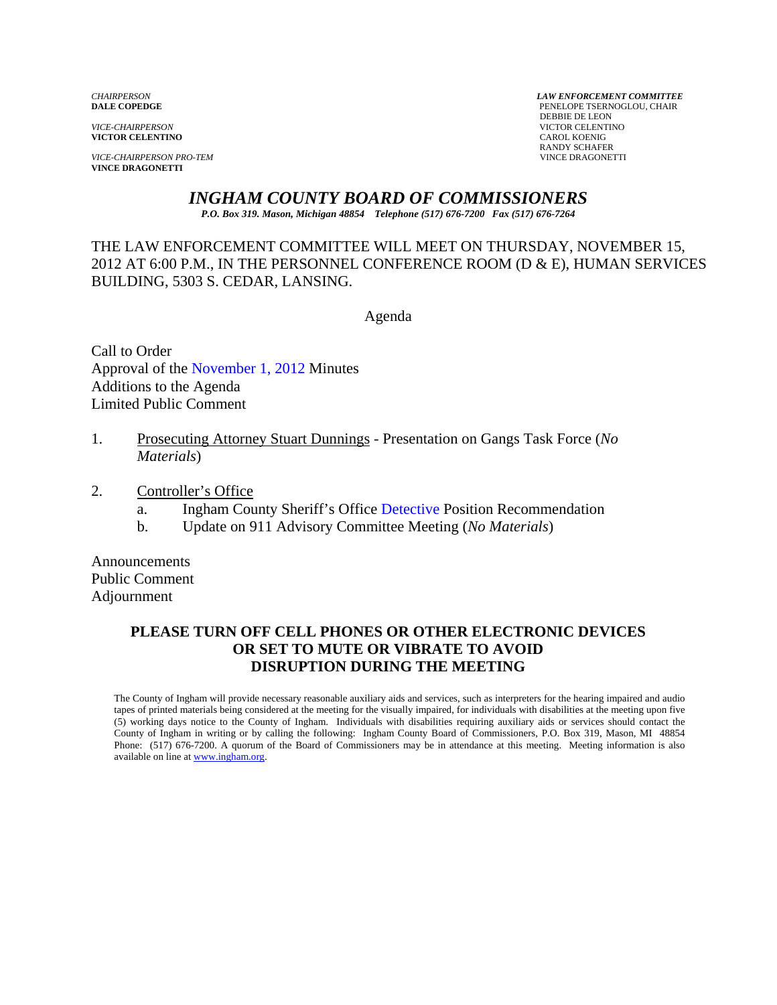**VICTOR CELENTINO** 

*VICE-CHAIRPERSON PRO-TEM* VINCE DRAGONETTI **VINCE DRAGONETTI** 

*CHAIRPERSON LAW ENFORCEMENT COMMITTEE* PENELOPE TSERNOGLOU, CHAIR **PERSUAL SERVICE-CHAIRPERSON**<br> **PERSUAL SERVICTOR CELENTI VICTOR CELENTINO**<br>CAROL KOENIG RANDY SCHAFER

## *INGHAM COUNTY BOARD OF COMMISSIONERS*

*P.O. Box 319. Mason, Michigan 48854 Telephone (517) 676-7200 Fax (517) 676-7264*

THE LAW ENFORCEMENT COMMITTEE WILL MEET ON THURSDAY, NOVEMBER 15, 2012 AT 6:00 P.M., IN THE PERSONNEL CONFERENCE ROOM (D & E), HUMAN SERVICES BUILDING, 5303 S. CEDAR, LANSING.

Agenda

Call to Order Approval of [the November 1, 2012 Minutes](#page-1-0)  Additions to the Agenda Limited Public Comment

- 1. Prosecuting Attorney Stuart Dunnings Presentation on Gangs Task Force (*No Materials*)
- 2. Controller's Office
	- a. Ingham County Sheriff's O[ffice Detective Position Recommen](#page-7-0)dation
	- b. Update on 911 Advisory Committee Meeting (*No Materials*)

Announcements Public Comment Adjournment

### **PLEASE TURN OFF CELL PHONES OR OTHER ELECTRONIC DEVICES OR SET TO MUTE OR VIBRATE TO AVOID DISRUPTION DURING THE MEETING**

The County of Ingham will provide necessary reasonable auxiliary aids and services, such as interpreters for the hearing impaired and audio tapes of printed materials being considered at the meeting for the visually impaired, for individuals with disabilities at the meeting upon five (5) working days notice to the County of Ingham. Individuals with disabilities requiring auxiliary aids or services should contact the County of Ingham in writing or by calling the following: Ingham County Board of Commissioners, P.O. Box 319, Mason, MI 48854 Phone: (517) 676-7200. A quorum of the Board of Commissioners may be in attendance at this meeting. Meeting information is also available on line at www.ingham.org.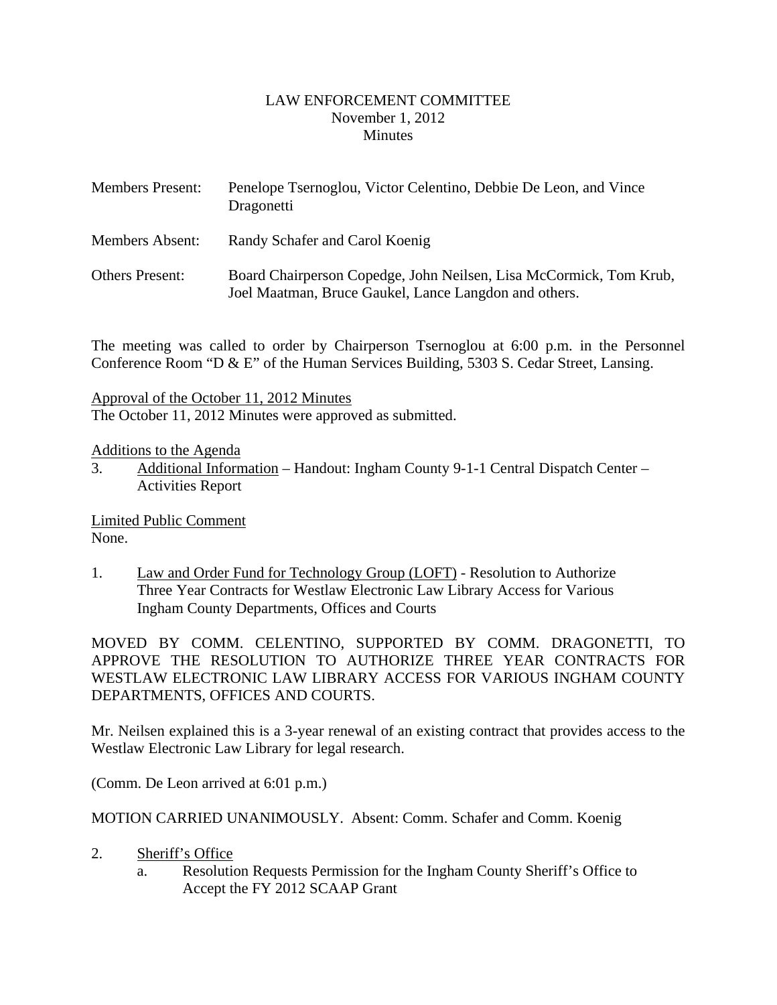### LAW ENFORCEMENT COMMITTEE November 1, 2012 **Minutes**

<span id="page-1-0"></span>

| <b>Members Present:</b> | Penelope Tsernoglou, Victor Celentino, Debbie De Leon, and Vince<br>Dragonetti                                              |
|-------------------------|-----------------------------------------------------------------------------------------------------------------------------|
| Members Absent:         | Randy Schafer and Carol Koenig                                                                                              |
| <b>Others Present:</b>  | Board Chairperson Copedge, John Neilsen, Lisa McCormick, Tom Krub,<br>Joel Maatman, Bruce Gaukel, Lance Langdon and others. |

The meeting was called to order by Chairperson Tsernoglou at 6:00 p.m. in the Personnel Conference Room "D & E" of the Human Services Building, 5303 S. Cedar Street, Lansing.

Approval of the October 11, 2012 Minutes

The October 11, 2012 Minutes were approved as submitted.

Additions to the Agenda

3. Additional Information – Handout: Ingham County 9-1-1 Central Dispatch Center – Activities Report

Limited Public Comment None.

1. Law and Order Fund for Technology Group (LOFT) - Resolution to Authorize Three Year Contracts for Westlaw Electronic Law Library Access for Various Ingham County Departments, Offices and Courts

MOVED BY COMM. CELENTINO, SUPPORTED BY COMM. DRAGONETTI, TO APPROVE THE RESOLUTION TO AUTHORIZE THREE YEAR CONTRACTS FOR WESTLAW ELECTRONIC LAW LIBRARY ACCESS FOR VARIOUS INGHAM COUNTY DEPARTMENTS, OFFICES AND COURTS.

Mr. Neilsen explained this is a 3-year renewal of an existing contract that provides access to the Westlaw Electronic Law Library for legal research.

(Comm. De Leon arrived at 6:01 p.m.)

MOTION CARRIED UNANIMOUSLY. Absent: Comm. Schafer and Comm. Koenig

- 2. Sheriff's Office
	- a. Resolution Requests Permission for the Ingham County Sheriff's Office to Accept the FY 2012 SCAAP Grant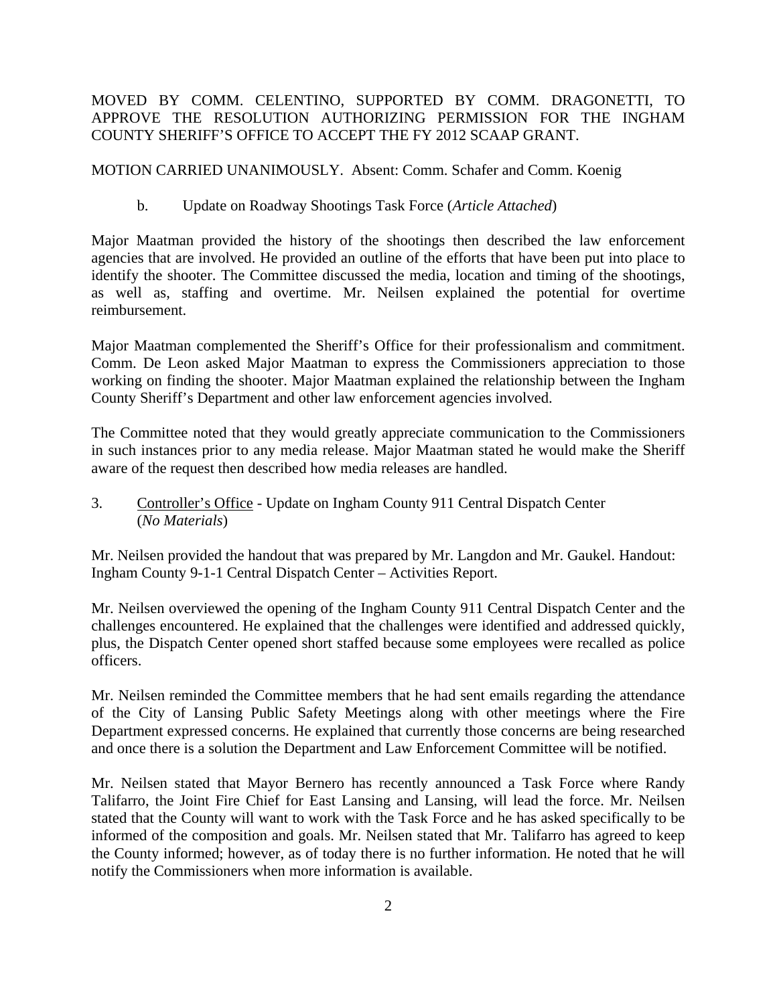### MOVED BY COMM. CELENTINO, SUPPORTED BY COMM. DRAGONETTI, TO APPROVE THE RESOLUTION AUTHORIZING PERMISSION FOR THE INGHAM COUNTY SHERIFF'S OFFICE TO ACCEPT THE FY 2012 SCAAP GRANT.

MOTION CARRIED UNANIMOUSLY. Absent: Comm. Schafer and Comm. Koenig

b. Update on Roadway Shootings Task Force (*Article Attached*)

Major Maatman provided the history of the shootings then described the law enforcement agencies that are involved. He provided an outline of the efforts that have been put into place to identify the shooter. The Committee discussed the media, location and timing of the shootings, as well as, staffing and overtime. Mr. Neilsen explained the potential for overtime reimbursement.

Major Maatman complemented the Sheriff's Office for their professionalism and commitment. Comm. De Leon asked Major Maatman to express the Commissioners appreciation to those working on finding the shooter. Major Maatman explained the relationship between the Ingham County Sheriff's Department and other law enforcement agencies involved.

The Committee noted that they would greatly appreciate communication to the Commissioners in such instances prior to any media release. Major Maatman stated he would make the Sheriff aware of the request then described how media releases are handled.

3. Controller's Office - Update on Ingham County 911 Central Dispatch Center (*No Materials*)

Mr. Neilsen provided the handout that was prepared by Mr. Langdon and Mr. Gaukel. Handout: Ingham County 9-1-1 Central Dispatch Center – Activities Report.

Mr. Neilsen overviewed the opening of the Ingham County 911 Central Dispatch Center and the challenges encountered. He explained that the challenges were identified and addressed quickly, plus, the Dispatch Center opened short staffed because some employees were recalled as police officers.

Mr. Neilsen reminded the Committee members that he had sent emails regarding the attendance of the City of Lansing Public Safety Meetings along with other meetings where the Fire Department expressed concerns. He explained that currently those concerns are being researched and once there is a solution the Department and Law Enforcement Committee will be notified.

Mr. Neilsen stated that Mayor Bernero has recently announced a Task Force where Randy Talifarro, the Joint Fire Chief for East Lansing and Lansing, will lead the force. Mr. Neilsen stated that the County will want to work with the Task Force and he has asked specifically to be informed of the composition and goals. Mr. Neilsen stated that Mr. Talifarro has agreed to keep the County informed; however, as of today there is no further information. He noted that he will notify the Commissioners when more information is available.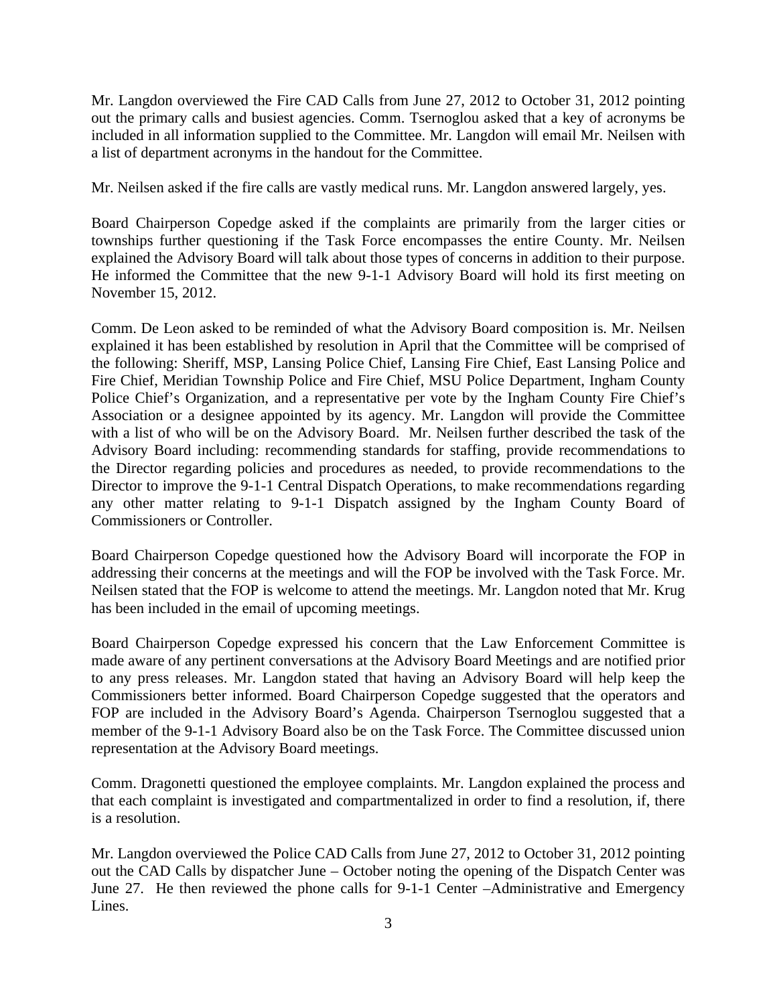Mr. Langdon overviewed the Fire CAD Calls from June 27, 2012 to October 31, 2012 pointing out the primary calls and busiest agencies. Comm. Tsernoglou asked that a key of acronyms be included in all information supplied to the Committee. Mr. Langdon will email Mr. Neilsen with a list of department acronyms in the handout for the Committee.

Mr. Neilsen asked if the fire calls are vastly medical runs. Mr. Langdon answered largely, yes.

Board Chairperson Copedge asked if the complaints are primarily from the larger cities or townships further questioning if the Task Force encompasses the entire County. Mr. Neilsen explained the Advisory Board will talk about those types of concerns in addition to their purpose. He informed the Committee that the new 9-1-1 Advisory Board will hold its first meeting on November 15, 2012.

Comm. De Leon asked to be reminded of what the Advisory Board composition is. Mr. Neilsen explained it has been established by resolution in April that the Committee will be comprised of the following: Sheriff, MSP, Lansing Police Chief, Lansing Fire Chief, East Lansing Police and Fire Chief, Meridian Township Police and Fire Chief, MSU Police Department, Ingham County Police Chief's Organization, and a representative per vote by the Ingham County Fire Chief's Association or a designee appointed by its agency. Mr. Langdon will provide the Committee with a list of who will be on the Advisory Board. Mr. Neilsen further described the task of the Advisory Board including: recommending standards for staffing, provide recommendations to the Director regarding policies and procedures as needed, to provide recommendations to the Director to improve the 9-1-1 Central Dispatch Operations, to make recommendations regarding any other matter relating to 9-1-1 Dispatch assigned by the Ingham County Board of Commissioners or Controller.

Board Chairperson Copedge questioned how the Advisory Board will incorporate the FOP in addressing their concerns at the meetings and will the FOP be involved with the Task Force. Mr. Neilsen stated that the FOP is welcome to attend the meetings. Mr. Langdon noted that Mr. Krug has been included in the email of upcoming meetings.

Board Chairperson Copedge expressed his concern that the Law Enforcement Committee is made aware of any pertinent conversations at the Advisory Board Meetings and are notified prior to any press releases. Mr. Langdon stated that having an Advisory Board will help keep the Commissioners better informed. Board Chairperson Copedge suggested that the operators and FOP are included in the Advisory Board's Agenda. Chairperson Tsernoglou suggested that a member of the 9-1-1 Advisory Board also be on the Task Force. The Committee discussed union representation at the Advisory Board meetings.

Comm. Dragonetti questioned the employee complaints. Mr. Langdon explained the process and that each complaint is investigated and compartmentalized in order to find a resolution, if, there is a resolution.

Mr. Langdon overviewed the Police CAD Calls from June 27, 2012 to October 31, 2012 pointing out the CAD Calls by dispatcher June – October noting the opening of the Dispatch Center was June 27. He then reviewed the phone calls for 9-1-1 Center –Administrative and Emergency Lines.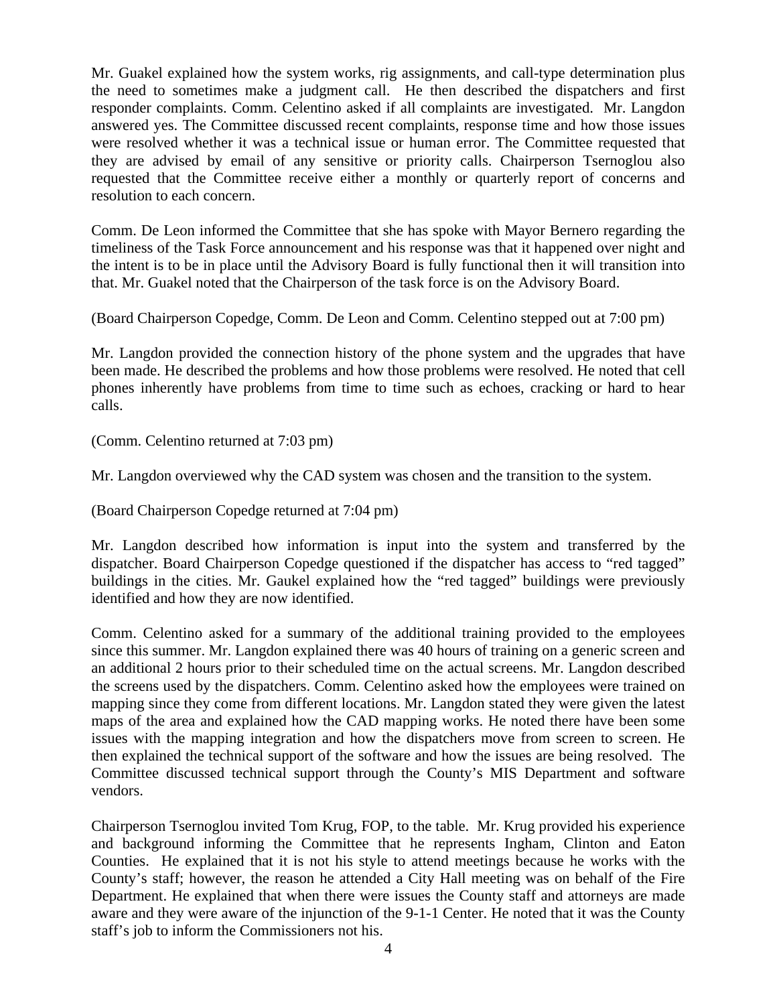Mr. Guakel explained how the system works, rig assignments, and call-type determination plus the need to sometimes make a judgment call. He then described the dispatchers and first responder complaints. Comm. Celentino asked if all complaints are investigated. Mr. Langdon answered yes. The Committee discussed recent complaints, response time and how those issues were resolved whether it was a technical issue or human error. The Committee requested that they are advised by email of any sensitive or priority calls. Chairperson Tsernoglou also requested that the Committee receive either a monthly or quarterly report of concerns and resolution to each concern.

Comm. De Leon informed the Committee that she has spoke with Mayor Bernero regarding the timeliness of the Task Force announcement and his response was that it happened over night and the intent is to be in place until the Advisory Board is fully functional then it will transition into that. Mr. Guakel noted that the Chairperson of the task force is on the Advisory Board.

(Board Chairperson Copedge, Comm. De Leon and Comm. Celentino stepped out at 7:00 pm)

Mr. Langdon provided the connection history of the phone system and the upgrades that have been made. He described the problems and how those problems were resolved. He noted that cell phones inherently have problems from time to time such as echoes, cracking or hard to hear calls.

(Comm. Celentino returned at 7:03 pm)

Mr. Langdon overviewed why the CAD system was chosen and the transition to the system.

(Board Chairperson Copedge returned at 7:04 pm)

Mr. Langdon described how information is input into the system and transferred by the dispatcher. Board Chairperson Copedge questioned if the dispatcher has access to "red tagged" buildings in the cities. Mr. Gaukel explained how the "red tagged" buildings were previously identified and how they are now identified.

Comm. Celentino asked for a summary of the additional training provided to the employees since this summer. Mr. Langdon explained there was 40 hours of training on a generic screen and an additional 2 hours prior to their scheduled time on the actual screens. Mr. Langdon described the screens used by the dispatchers. Comm. Celentino asked how the employees were trained on mapping since they come from different locations. Mr. Langdon stated they were given the latest maps of the area and explained how the CAD mapping works. He noted there have been some issues with the mapping integration and how the dispatchers move from screen to screen. He then explained the technical support of the software and how the issues are being resolved. The Committee discussed technical support through the County's MIS Department and software vendors.

Chairperson Tsernoglou invited Tom Krug, FOP, to the table. Mr. Krug provided his experience and background informing the Committee that he represents Ingham, Clinton and Eaton Counties. He explained that it is not his style to attend meetings because he works with the County's staff; however, the reason he attended a City Hall meeting was on behalf of the Fire Department. He explained that when there were issues the County staff and attorneys are made aware and they were aware of the injunction of the 9-1-1 Center. He noted that it was the County staff's job to inform the Commissioners not his.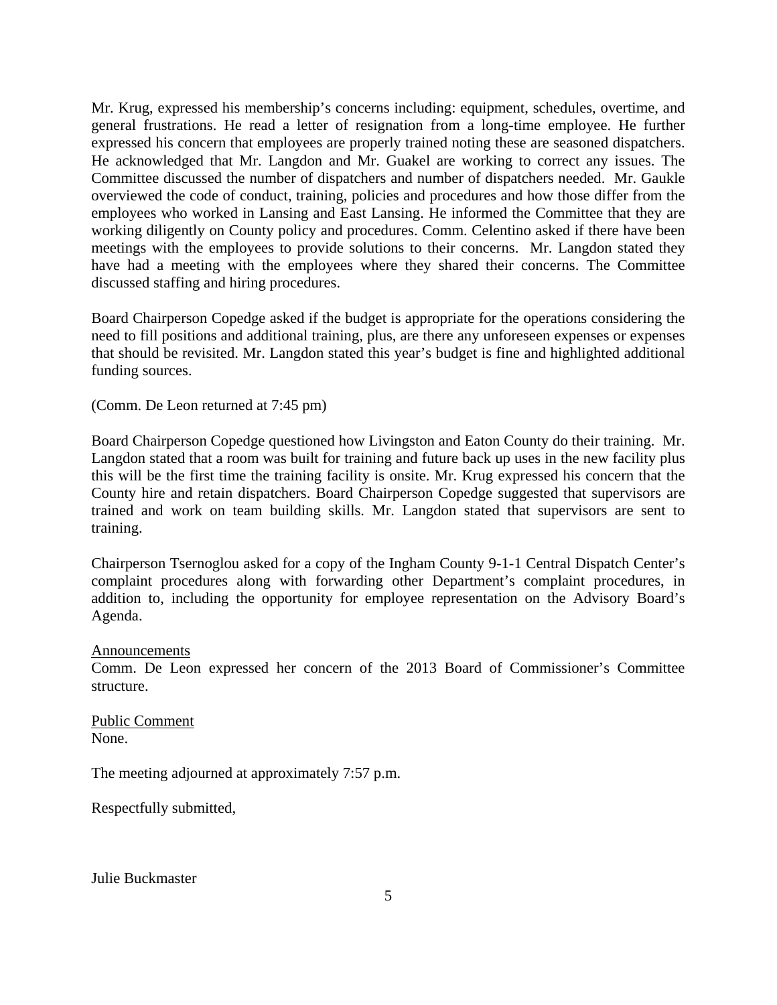Mr. Krug, expressed his membership's concerns including: equipment, schedules, overtime, and general frustrations. He read a letter of resignation from a long-time employee. He further expressed his concern that employees are properly trained noting these are seasoned dispatchers. He acknowledged that Mr. Langdon and Mr. Guakel are working to correct any issues. The Committee discussed the number of dispatchers and number of dispatchers needed. Mr. Gaukle overviewed the code of conduct, training, policies and procedures and how those differ from the employees who worked in Lansing and East Lansing. He informed the Committee that they are working diligently on County policy and procedures. Comm. Celentino asked if there have been meetings with the employees to provide solutions to their concerns. Mr. Langdon stated they have had a meeting with the employees where they shared their concerns. The Committee discussed staffing and hiring procedures.

Board Chairperson Copedge asked if the budget is appropriate for the operations considering the need to fill positions and additional training, plus, are there any unforeseen expenses or expenses that should be revisited. Mr. Langdon stated this year's budget is fine and highlighted additional funding sources.

(Comm. De Leon returned at 7:45 pm)

Board Chairperson Copedge questioned how Livingston and Eaton County do their training. Mr. Langdon stated that a room was built for training and future back up uses in the new facility plus this will be the first time the training facility is onsite. Mr. Krug expressed his concern that the County hire and retain dispatchers. Board Chairperson Copedge suggested that supervisors are trained and work on team building skills. Mr. Langdon stated that supervisors are sent to training.

Chairperson Tsernoglou asked for a copy of the Ingham County 9-1-1 Central Dispatch Center's complaint procedures along with forwarding other Department's complaint procedures, in addition to, including the opportunity for employee representation on the Advisory Board's Agenda.

Announcements

Comm. De Leon expressed her concern of the 2013 Board of Commissioner's Committee structure.

Public Comment None.

The meeting adjourned at approximately 7:57 p.m.

Respectfully submitted,

Julie Buckmaster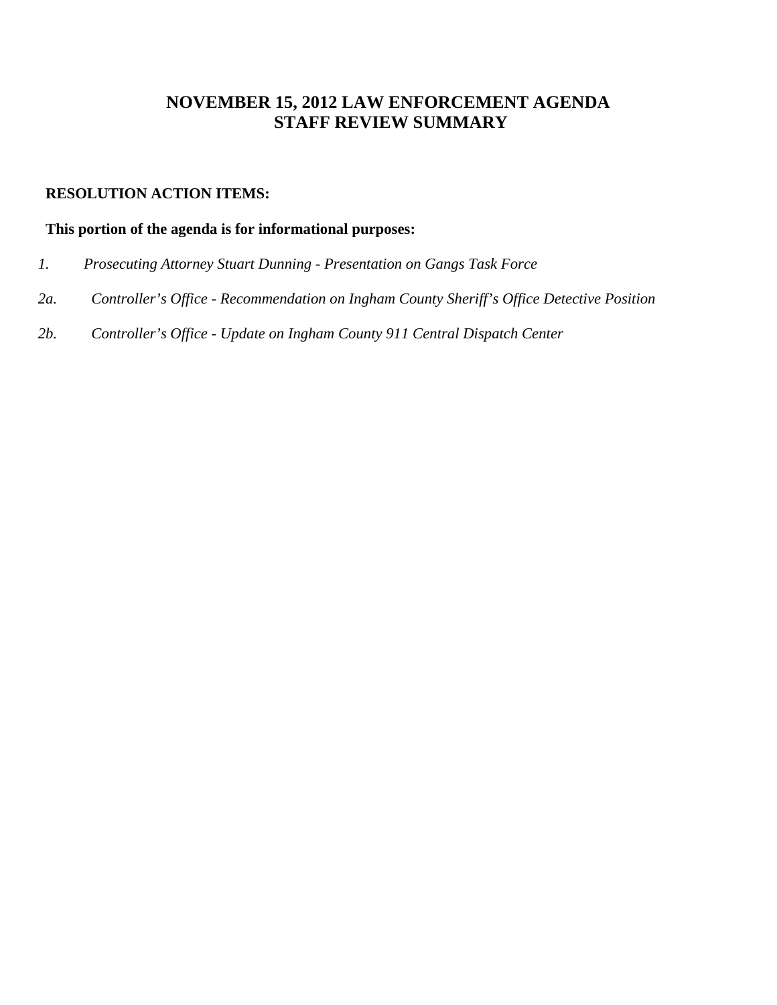# **NOVEMBER 15, 2012 LAW ENFORCEMENT AGENDA STAFF REVIEW SUMMARY**

### **RESOLUTION ACTION ITEMS:**

### **This portion of the agenda is for informational purposes:**

- *1. Prosecuting Attorney Stuart Dunning Presentation on Gangs Task Force*
- *2a. Controller's Office Recommendation on Ingham County Sheriff's Office Detective Position*
- *2b. Controller's Office Update on Ingham County 911 Central Dispatch Center*